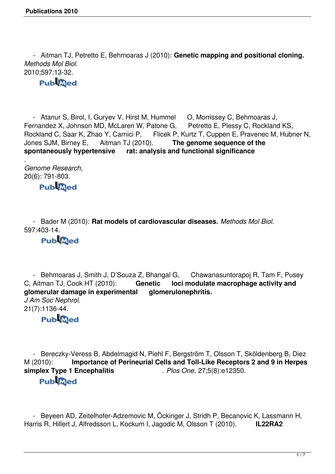- Aitman TJ, Petretto E, Behmoaras J (2010): **Genetic mapping and positional cloning.** *Methods Mol Biol.* 2010;597:13-32.

#### **Publaced**

- Atanur S, Birol, I, Guryev V, Hirst M, Hummel O, Morrissey C, Behmoaras J, <br>rnandez X, Johnson MD, McLaren W, Patone G, Petretto E, Plessy C, Rockland KS, Fernandez X, Johnson MD, McLaren W, Patone G, Rockland C, Saar K, Zhao Y, Carnici P, Flicek P, o Y, Carnici P, Flicek P, Kurtz T, Cuppen E, Pravenec M, Hubner N, Aitman TJ (2010). The genome sequence of the Jones SJM, Birney E, Aitman TJ (2010). **The genome sequence of the spontaneously hypertensive rat: analysis and functional significance**

*Genome Research,* 20(6): 791-803.<br>Publ@ed

.

 - Bader M (2010): **Rat models of cardiovascular diseases.** *Methods Mol Biol.* 597:403-14.

### **Publaced**

- Behmoaras J, Smith J, D'Souza Z, Bhangal G, Chawanasuntorapoj R, Tam F, Pusey C, Aitman TJ, Cook HT (2010): Genetic loci modulate macrophage activity and Genetic loci modulate macrophage activity and **glomerular damage in experimental glomerulonephritis.** *J Am Soc Nephrol.* 21(7):1136-44.

**Pub**<sub>@ed</sub>

 - Bereczky-Veress B, Abdelmagid N, Piehl F, Bergström T, Olsson T, Sköldenberg B, Diez M (2010): **Importance of Perineurial Cells and Toll-Like Receptors 2 and 9 in Herpes simplex Type 1 Encephalitis** . *Plos One*, 27;5(8):e12350. **Pub**<sub>@ed</sub>

 - Beyeen AD, Zeitelhofer-Adzemovic M, Öckinger J, Stridh P, Becanovic K, Lassmann H, Harris R, Hillert J, Alfredsson L, Kockum I, Jagodic M, Olsson T (2010). **IL22RA2**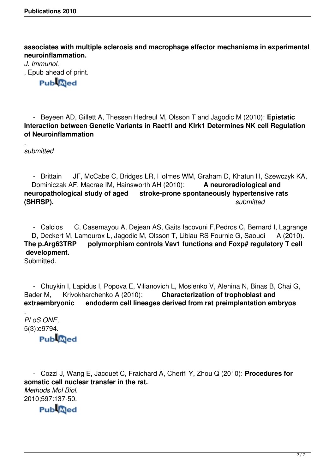**associates with multiple sclerosis and macrophage effector mechanisms in experimental neuroinflammation.**

*J. Immunol.* , Epub ahead of print. **Publaced** 

 - Beyeen AD, Gillett A, Thessen Hedreul M, Olsson T and Jagodic M (2010): **Epistatic Interaction between Genetic Variants in Raet1l and Klrk1 Determines NK cell Regulation of Neuroinflammation**

. *submitted*

 - Brittain JF, McCabe C, Bridges LR, Holmes WM, Graham D, Khatun H, Szewczyk KA, Dominiczak AF, Macrae IM, Hainsworth AH (2010): **A neuroradiological and neuropathological study of aged stroke-prone spontaneously hypertensive rats (SHRSP).** *submitted*

 - Calcios C, Casemayou A, Dejean AS, Gaits Iacovuni F,Pedros C, Bernard I, Lagrange D, Deckert M, Lamourox L, Jagodic M, Olsson T, Liblau RS Fournie G, Saoudi A (2010). **The p.Arg63TRP polymorphism controls Vav1 functions and Foxp# regulatory T cell development.**

Submitted.

- Chuykin I, Lapidus I, Popova E, Vilianovich L, Mosienko V, Alenina N, Binas B, Chai G,<br>der M, Krivokharchenko A (2010): **Characterization of trophoblast and** Bader M, Krivokharchenko A (2010): **Characterization of trophoblast and extraembryonic endoderm cell lineages derived from rat preimplantation embryos**

. *PLoS ONE,* 5(3):e9794.

# **Publaced**

 - Cozzi J, Wang E, Jacquet C, Fraichard A, Cherifi Y, Zhou Q (2010): **Procedures for somatic cell nuclear transfer in the rat.** *Methods Mol Biol.* 2010;597:137-50.

**PubMed**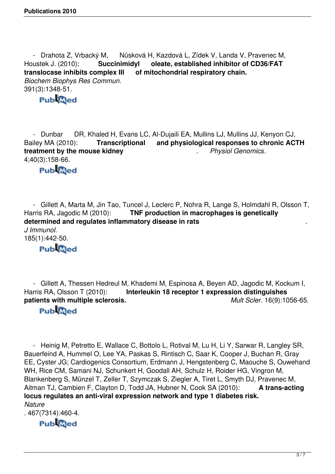- Drahota Z, Vrbacký M, Nůsková H, Kazdová L, Zídek V, Landa V, Pravenec M, Houstek J. (2010): **Succinimidyl** oleate, established inhibitor of CD36/FAT translocase inhibits complex III of mitochondrial respiratory chain. of mitochondrial respiratory chain. *Biochem Biophys Res Commun.*  391(3):1348-51.<br>Publ@ed

 - Dunbar DR, Khaled H, Evans LC, Al-Dujaili EA, Mullins LJ, Mullins JJ, Kenyon CJ, Bailey MA (2010): **Transcriptional and physiological responses to chronic ACTH treatment by the mouse kidney** . *Physiol Genomics*. 4;40(3):158-66.

#### **Publaced**

- Gillett A, Marta M, Jin Tao, Tuncel J, Leclerc P, Nohra R, Lange S, Holmdahl R, Olsson T,<br>Harris RA, Jagodic M (2010): **TNF production in macrophages is genetically TNF production in macrophages is genetically determined and regulates inflammatory disease in rats** . *J Immunol.*  185(1):442-50.

# **Pub**<sub>@ed</sub>

- Gillett A, Thessen Hedreul M, Khademi M, Espinosa A, Beyen AD, Jagodic M, Kockum I, Harris RA, Olsson T (2010): **Interleukin 18 receptor 1 expression distinguishes Interleukin 18 receptor 1 expression distinguishes patients with multiple sclerosis.** *Mult Scler*. 16(9):1056-65.

### **Publaced**

 - Heinig M, Petretto E, Wallace C, Bottolo L, Rotival M, Lu H, Li Y, Sarwar R, Langley SR, Bauerfeind A, Hummel O, Lee YA, Paskas S, Rintisch C, Saar K, Cooper J, Buchan R, Gray EE, Cyster JG; Cardiogenics Consortium, Erdmann J, Hengstenberg C, Maouche S, Ouwehand WH, Rice CM, Samani NJ, Schunkert H, Goodall AH, Schulz H, Roider HG, Vingron M, Blankenberg S, Münzel T, Zeller T, Szymczak S, Ziegler A, Tiret L, Smyth DJ, Pravenec M, Aitman TJ, Cambien F, Clayton D, Todd JA, Hubner N, Cook SA (2010): **A trans-acting locus regulates an anti-viral expression network and type 1 diabetes risk.** *Nature*

. 467(7314):460-4.

#### **PubMed**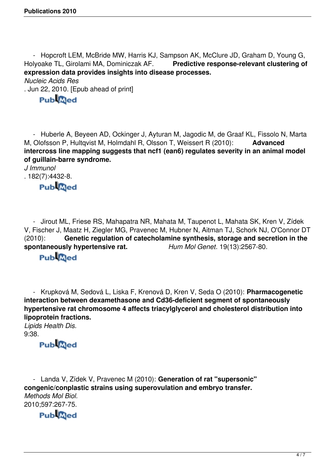- Hopcroft LEM, McBride MW, Harris KJ, Sampson AK, McClure JD, Graham D, Young G, Holyoake TL, Girolami MA, Dominiczak AF. **Predictive response-relevant clustering of expression data provides insights into disease processes.**

*Nucleic Acids Res*

. Jun 22, 2010. [Epub ahead of print]

## **Publaced**

 - Huberle A, Beyeen AD, Ockinger J, Ayturan M, Jagodic M, de Graaf KL, Fissolo N, Marta M, Olofsson P, Hultqvist M, Holmdahl R, Olsson T, Weissert R (2010): **Advanced intercross line mapping suggests that ncf1 (ean6) regulates severity in an animal model of guillain-barre syndrome.**

*J Immunol* . 182(7):4432-8. **Publaced** 

 - Jirout ML, Friese RS, Mahapatra NR, Mahata M, Taupenot L, Mahata SK, Kren V, Zídek V, Fischer J, Maatz H, Ziegler MG, Pravenec M, Hubner N, Aitman TJ, Schork NJ, O'Connor DT (2010): Genetic regulation of catecholamine synthesis, storage and secretion in the<br>spontaneously hypertensive rat. Hum Mol Genet. 19(13):2567-80. spontaneously hypertensive rat.

## **Pub**<sub>@ed</sub>

 - Krupková M, Sedová L, Liska F, Krenová D, Kren V, Seda O (2010): **Pharmacogenetic interaction between dexamethasone and Cd36-deficient segment of spontaneously hypertensive rat chromosome 4 affects triacylglycerol and cholesterol distribution into lipoprotein fractions.**

*Lipids Health Dis.* 9:38.

## **Pub**<sub>Qed</sub>

 - Landa V, Zídek V, Pravenec M (2010): **Generation of rat "supersonic" congenic/conplastic strains using superovulation and embryo transfer.** *Methods Mol Biol.* 2010;597:267-75.

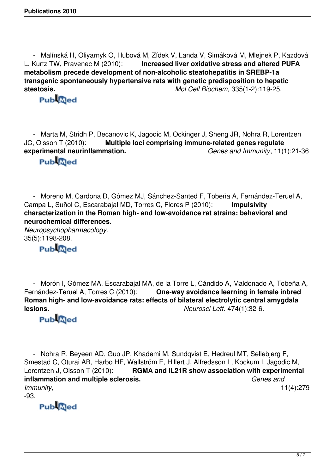- Malínská H, Oliyarnyk O, Hubová M, Zídek V, Landa V, Simáková M, Mlejnek P, Kazdová L, Kurtz TW, Pravenec M (2010): **Increased liver oxidative stress and altered PUFA metabolism precede development of non-alcoholic steatohepatitis in SREBP-1a transgenic spontaneously hypertensive rats with genetic predisposition to hepatic steatosis.** *Mol Cell Biochem,* 335(1-2):119-25.

 - Marta M, Stridh P, Becanovic K, Jagodic M, Ockinger J, Sheng JR, Nohra R, Lorentzen JC, Olsson T (2010): **Multiple loci comprising immune-related genes regulate experimental neurinflammation.** *Genes and Immunity*, 11(1):21-36

## **Publaced**

 - Moreno M, Cardona D, Gómez MJ, Sánchez-Santed F, Tobeña A, Fernández-Teruel A, Campa L, Suñol C, Escarabajal MD, Torres C, Flores P (2010): **Impulsivity characterization in the Roman high- and low-avoidance rat strains: behavioral and neurochemical differences.**

*Neuropsychopharmacology.* 35(5):1198-208.

## **Publaced**

 - Morón I, Gómez MA, Escarabajal MA, de la Torre L, Cándido A, Maldonado A, Tobeña A, Fernández-Teruel A, Torres C (2010): **One-way avoidance learning in female inbred Roman high- and low-avoidance rats: effects of bilateral electrolytic central amygdala lesions.** *Neurosci Lett.* 474(1):32-6.

### **Publaced**

 - Nohra R, Beyeen AD, Guo JP, Khademi M, Sundqvist E, Hedreul MT, Sellebjerg F, Smestad C, Oturai AB, Harbo HF, Wallström E, Hillert J, Alfredsson L, Kockum I, Jagodic M, Lorentzen J, Olsson T (2010): **RGMA and IL21R show association with experimental inflammation and multiple sclerosis.** *Genes and Immunity,* 11(4):279

-93.

**PubMed**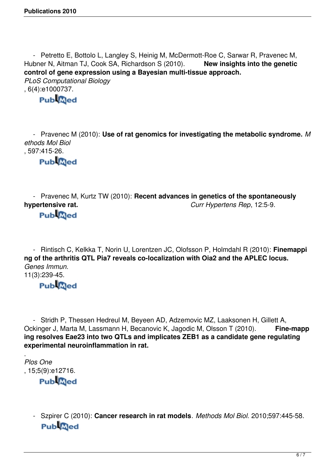- Petretto E, Bottolo L, Langley S, Heinig M, McDermott-Roe C, Sarwar R, Pravenec M, Hubner N, Aitman TJ, Cook SA, Richardson S (2010). **New insights into the genetic control of gene expression using a Bayesian multi-tissue approach.** *PLoS Computational Biology* , 6(4):e1000737.<br>Publ@ed

 - Pravenec M (2010): **Use of rat genomics for investigating the metabolic syndrome.** *M ethods Mol Biol*

, 597:415-26.

**Pub**<sub>@ed</sub>

- Pravenec M, Kurtz TW (2010): **Recent advances in genetics of the spontaneously**<br>Curr Hypertens Rep, 12:5-9. **hypertensive rat.** *Curr Hypertens Rep*, 12:5-9.

**Publaced** 

 - Rintisch C, Kelkka T, Norin U, Lorentzen JC, Olofsson P, Holmdahl R (2010): **Finemappi ng of the arthritis QTL Pia7 reveals co-localization with Oia2 and the APLEC locus.** *Genes Immun.* 11(3):239-45.

### **Pub**<sub>@ed</sub>

 - Stridh P, Thessen Hedreul M, Beyeen AD, Adzemovic MZ, Laaksonen H, Gillett A, Ockinger J, Marta M, Lassmann H, Becanovic K, Jagodic M, Olsson T (2010). **Fine-mapp ing resolves Eae23 into two QTLs and implicates ZEB1 as a candidate gene regulating experimental neuroinflammation in rat.**

. *Plos One* , 15;5(9):e12716.<br>**Publ@ed** 

 - Szpirer C (2010): **Cancer research in rat models**. *Methods Mol Biol.* 2010;597:445-58. **Pub**<sub>@ed</sub>